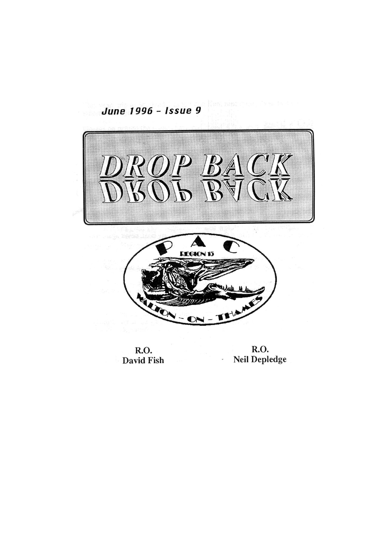

R.O. R.O.<br>David Fish **Neil Depledge**  $\overline{\phantom{a}}$ 

June 1996 - Issue 9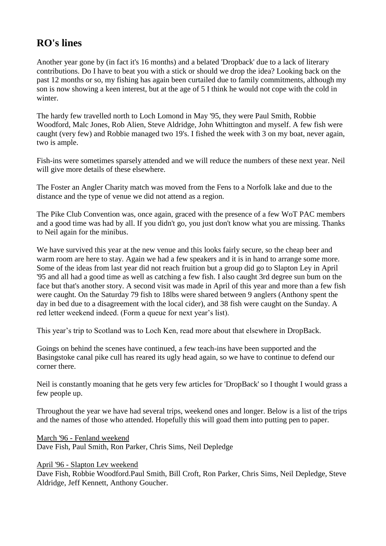# **RO's lines**

Another year gone by (in fact it's 16 months) and a belated 'Dropback' due to a lack of literary contributions. Do I have to beat you with a stick or should we drop the idea? Looking back on the past 12 months or so, my fishing has again been curtailed due to family commitments, although my son is now showing a keen interest, but at the age of 5 I think he would not cope with the cold in winter.

The hardy few travelled north to Loch Lomond in May '95, they were Paul Smith, Robbie Woodford, Malc Jones, Rob Alien, Steve Aldridge, John Whittington and myself. A few fish were caught (very few) and Robbie managed two 19's. I fished the week with 3 on my boat, never again, two is ample.

Fish-ins were sometimes sparsely attended and we will reduce the numbers of these next year. Neil will give more details of these elsewhere.

The Foster an Angler Charity match was moved from the Fens to a Norfolk lake and due to the distance and the type of venue we did not attend as a region.

The Pike Club Convention was, once again, graced with the presence of a few WoT PAC members and a good time was had by all. If you didn't go, you just don't know what you are missing. Thanks to Neil again for the minibus.

We have survived this year at the new venue and this looks fairly secure, so the cheap beer and warm room are here to stay. Again we had a few speakers and it is in hand to arrange some more. Some of the ideas from last year did not reach fruition but a group did go to Slapton Ley in April '95 and all had a good time as well as catching a few fish. I also caught 3rd degree sun bum on the face but that's another story. A second visit was made in April of this year and more than a few fish were caught. On the Saturday 79 fish to 18lbs were shared between 9 anglers (Anthony spent the day in bed due to a disagreement with the local cider), and 38 fish were caught on the Sunday. A red letter weekend indeed. (Form a queue for next year's list).

This year's trip to Scotland was to Loch Ken, read more about that elsewhere in DropBack.

Goings on behind the scenes have continued, a few teach-ins have been supported and the Basingstoke canal pike cull has reared its ugly head again, so we have to continue to defend our corner there.

Neil is constantly moaning that he gets very few articles for 'DropBack' so I thought I would grass a few people up.

Throughout the year we have had several trips, weekend ones and longer. Below is a list of the trips and the names of those who attended. Hopefully this will goad them into putting pen to paper.

March '96 - Fenland weekend Dave Fish, Paul Smith, Ron Parker, Chris Sims, Neil Depledge

April '96 - Slapton Lev weekend

Dave Fish, Robbie Woodford.Paul Smith, Bill Croft, Ron Parker, Chris Sims, Neil Depledge, Steve Aldridge, Jeff Kennett, Anthony Goucher.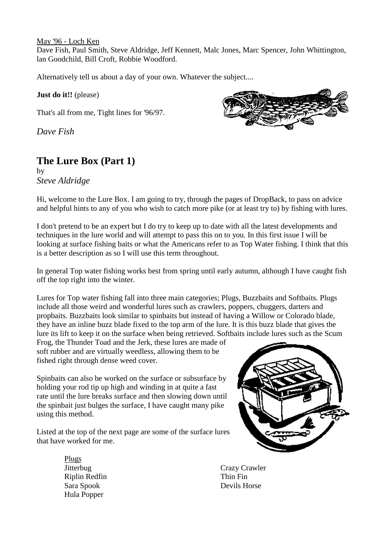May '96 - Loch Ken Dave Fish, Paul Smith, Steve Aldridge, Jeff Kennett, Malc Jones, Marc Spencer, John Whittington,

lan Goodchild, Bill Croft, Robbie Woodford.

Alternatively tell us about a day of your own. Whatever the subject....

## **Just do it!!** (please)

That's all from me, Tight lines for '96/97.

*Dave Fish*

# **The Lure Box (Part 1)**

by *Steve Aldridge*



Hi, welcome to the Lure Box. I am going to try, through the pages of DropBack, to pass on advice and helpful hints to any of you who wish to catch more pike (or at least try to) by fishing with lures.

I don't pretend to be an expert but I do try to keep up to date with all the latest developments and techniques in the lure world and will attempt to pass this on to you. In this first issue I will be looking at surface fishing baits or what the Americans refer to as Top Water fishing. I think that this is a better description as so I will use this term throughout.

In general Top water fishing works best from spring until early autumn, although I have caught fish off the top right into the winter.

Lures for Top water fishing fall into three main categories; Plugs, Buzzbaits and Softbaits. Plugs include all those weird and wonderful lures such as crawlers, poppers, chuggers, darters and propbaits. Buzzbaits look similar to spinbaits but instead of having a Willow or Colorado blade, they have an inline buzz blade fixed to the top arm of the lure. It is this buzz blade that gives the lure its lift to keep it on the surface when being retrieved. Softbaits include lures such as the Scum

Frog, the Thunder Toad and the Jerk, these lures are made of soft rubber and are virtually weedless, allowing them to be fished right through dense weed cover.

Spinbaits can also be worked on the surface or subsurface by holding your rod tip up high and winding in at quite a fast rate until the lure breaks surface and then slowing down until the spinbait just bulges the surface, I have caught many pike using this method.

Listed at the top of the next page are some of the surface lures that have worked for me.

> Plugs Riplin Redfin Thin Fin Sara Spook Devils Horse Hula Popper



Jitterbug Crazy Crawler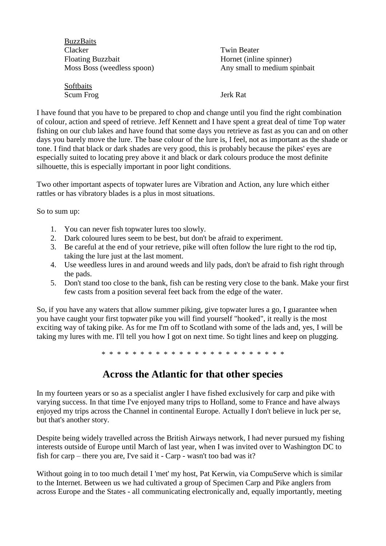| <b>BuzzBaits</b>           |                              |
|----------------------------|------------------------------|
| Clacker                    | <b>Twin Beater</b>           |
| <b>Floating Buzzbait</b>   | Hornet (inline spinner)      |
| Moss Boss (weedless spoon) | Any small to medium spinbait |
| Softbaits                  |                              |

Scum Frog Jerk Rat

I have found that you have to be prepared to chop and change until you find the right combination of colour, action and speed of retrieve. Jeff Kennett and I have spent a great deal of time Top water fishing on our club lakes and have found that some days you retrieve as fast as you can and on other days you barely move the lure. The base colour of the lure is, I feel, not as important as the shade or tone. I find that black or dark shades are very good, this is probably because the pikes' eyes are especially suited to locating prey above it and black or dark colours produce the most definite silhouette, this is especially important in poor light conditions.

Two other important aspects of topwater lures are Vibration and Action, any lure which either rattles or has vibratory blades is a plus in most situations.

So to sum up:

- 1. You can never fish topwater lures too slowly.
- 2. Dark coloured lures seem to be best, but don't be afraid to experiment.
- 3. Be careful at the end of your retrieve, pike will often follow the lure right to the rod tip, taking the lure just at the last moment.
- 4. Use weedless lures in and around weeds and lily pads, don't be afraid to fish right through the pads.
- 5. Don't stand too close to the bank, fish can be resting very close to the bank. Make your first few casts from a position several feet back from the edge of the water.

So, if you have any waters that allow summer piking, give topwater lures a go, I guarantee when you have caught your first topwater pike you will find yourself "hooked", it really is the most exciting way of taking pike. As for me I'm off to Scotland with some of the lads and, yes, I will be taking my lures with me. I'll tell you how I got on next time. So tight lines and keep on plugging.

\* \* \* \* \* \* \* \* \* \* \* \* \* \* \* \* \* \* \* \* \* \* \* \*

# **Across the Atlantic for that other species**

In my fourteen years or so as a specialist angler I have fished exclusively for carp and pike with varying success. In that time I've enjoyed many trips to Holland, some to France and have always enjoyed my trips across the Channel in continental Europe. Actually I don't believe in luck per se, but that's another story.

Despite being widely travelled across the British Airways network, I had never pursued my fishing interests outside of Europe until March of last year, when I was invited over to Washington DC to fish for carp – there you are, I've said it - Carp - wasn't too bad was it?

Without going in to too much detail I 'met' my host, Pat Kerwin, via CompuServe which is similar to the Internet. Between us we had cultivated a group of Specimen Carp and Pike anglers from across Europe and the States - all communicating electronically and, equally importantly, meeting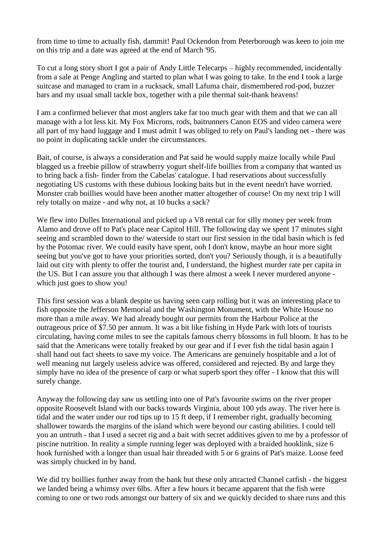from time to time to actually fish, dammit! Paul Ockendon from Peterborough was keen to join me on this trip and a date was agreed at the end of March '95.

To cut a long story short I got a pair of Andy Little Telecarps – highly recommended, incidentally from a sale at Penge Angling and started to plan what I was going to take. In the end I took a large suitcase and managed to cram in a rucksack, small Lafuma chair, dismembered rod-pod, buzzer bars and my usual small tackle box, together with a pile thermal suit-thank heavens!

I am a confirmed believer that most anglers take far too much gear with them and that we can all manage with a lot less kit. My Fox Microns, rods, baitrunners Canon EOS and video camera were all part of my hand luggage and I must admit I was obliged to rely on Paul's landing net - there was no point in duplicating tackle under the circumstances.

Bait, of course, is always a consideration and Pat said he would supply maize locally while Paul blagged us a freebie pillow of strawberry yogurt shelf-life boillies from a company that wanted us to bring back a fish- finder from the Cabelas' catalogue. I had reservations about successfully negotiating US customs with these dubious looking baits but in the event needn't have worried. Monster crab boillies would have been another matter altogether of course! On my next trip I will rely totally on maize - and why not, at 10 bucks a sack?

We flew into Dulles International and picked up a V8 rental car for silly money per week from Alamo and drove off to Pat's place near Capitol Hill. The following day we spent 17 minutes sight seeing and scrambled down to the/ waterside to start our first session in the tidal basin which is fed by the Potomac river. We could easily have spent, ooh I don't know, maybe an hour more sight seeing but you've got to have your priorities sorted, don't you? Seriously though, it is a beautifully laid out city with plenty to offer the tourist and, I understand, the highest murder rate per capita in the US. But I can assure you that although I was there almost a week I never murdered anyone which just goes to show you!

This first session was a blank despite us having seen carp rolling but it was an interesting place to fish opposite the Jefferson Memorial and the Washington Monument, with the White House no more than a mile away. We had already bought our permits from the Harbour Police at the outrageous price of \$7.50 per annum. It was a bit like fishing in Hyde Park with lots of tourists circulating, having come miles to see the capitals famous cherry blossoms in full bloom. It has to be said that the Americans were totally freaked by our gear and if I ever fish the tidal basin again I shall hand out fact sheets to save my voice. The Americans are genuinely hospitable and a lot of well meaning nut largely useless advice was offered, considered and rejected. By and large they simply have no idea of the presence of carp or what superb sport they offer - I know that this will surely change.

Anyway the following day saw us settling into one of Pat's favourite swims on the river proper opposite Roosevelt Island with our backs towards Virginia, about 100 yds away. The river here is tidal and the water under our rod tips up to 15 ft deep, if I remember right, gradually becoming shallower towards the margins of the island which were beyond our casting abilities. I could tell you an untruth - that I used a secret rig and a bait with secret additives given to me by a professor of piscine nutrition. In reality a simple running leger was deployed with a braided hooklink, size 6 hook furnished with a longer than usual hair threaded with 5 or 6 grains of Pat's maize. Loose feed was simply chucked in by hand.

We did try boillies further away from the bank but these only attracted Channel catfish - the biggest we landed being a whimsy over 6lbs. After a few hours it became apparent that the fish were coming to one or two rods amongst our battery of six and we quickly decided to share runs and this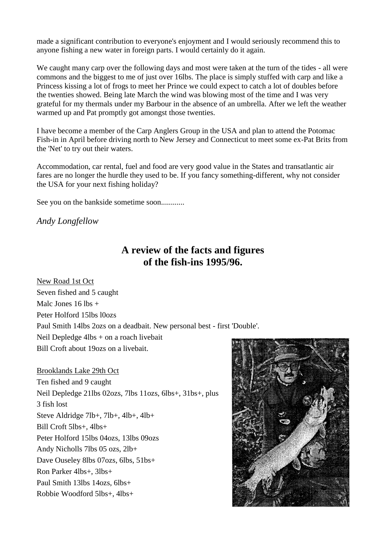made a significant contribution to everyone's enjoyment and I would seriously recommend this to anyone fishing a new water in foreign parts. I would certainly do it again.

We caught many carp over the following days and most were taken at the turn of the tides - all were commons and the biggest to me of just over 16lbs. The place is simply stuffed with carp and like a Princess kissing a lot of frogs to meet her Prince we could expect to catch a lot of doubles before the twenties showed. Being late March the wind was blowing most of the time and I was very grateful for my thermals under my Barbour in the absence of an umbrella. After we left the weather warmed up and Pat promptly got amongst those twenties.

I have become a member of the Carp Anglers Group in the USA and plan to attend the Potomac Fish-in in April before driving north to New Jersey and Connecticut to meet some ex-Pat Brits from the 'Net' to try out their waters.

Accommodation, car rental, fuel and food are very good value in the States and transatlantic air fares are no longer the hurdle they used to be. If you fancy something-different, why not consider the USA for your next fishing holiday?

See you on the bankside sometime soon............

*Andy Longfellow*

# **A review of the facts and figures of the fish-ins 1995/96.**

New Road 1st Oct Seven fished and 5 caught Malc Jones  $16$  lbs  $+$ Peter Holford 15lbs l0ozs Paul Smith 14lbs 2ozs on a deadbait. New personal best - first 'Double'. Neil Depledge 4lbs + on a roach livebait Bill Croft about 19ozs on a livebait.

Brooklands Lake 29th Oct Ten fished and 9 caught Neil Depledge 21lbs 02ozs, 7lbs 11ozs, 6lbs+, 31bs+, plus 3 fish lost Steve Aldridge 7lb+, 7lb+, 4lb+, 4lb+ Bill Croft 5lbs+, 4lbs+ Peter Holford 15lbs 04ozs, 13lbs 09ozs Andy Nicholls 7lbs 05 ozs, 2lb+ Dave Ouseley 8lbs 07ozs, 6lbs, 51bs+ Ron Parker 4lbs+, 3lbs+ Paul Smith 13lbs 14ozs, 6lbs+ Robbie Woodford 5lbs+, 4lbs+

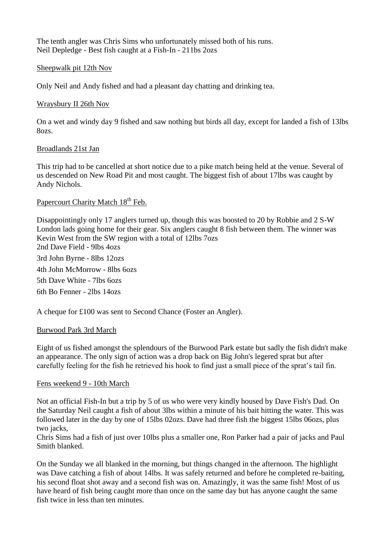The tenth angler was Chris Sims who unfortunately missed both of his runs. Neil Depledge - Best fish caught at a Fish-In - 211bs 2ozs

## Sheepwalk pit 12th Nov

Only Neil and Andy fished and had a pleasant day chatting and drinking tea.

## Wraysbury II 26th Nov

On a wet and windy day 9 fished and saw nothing but birds all day, except for landed a fish of 13lbs 8ozs.

## Broadlands 21st Jan

This trip had to be cancelled at short notice due to a pike match being held at the venue. Several of us descended on New Road Pit and most caught. The biggest fish of about 17lbs was caught by Andy Nichols.

## Papercourt Charity Match 18<sup>th</sup> Feb.

Disappointingly only 17 anglers turned up, though this was boosted to 20 by Robbie and 2 S-W London lads going home for their gear. Six anglers caught 8 fish between them. The winner was Kevin West from the SW region with a total of 12lbs 7ozs 2nd Dave Field - 9lbs 4ozs 3rd John Byrne - 8lbs 12ozs 4th John McMorrow - 8lbs 6ozs 5th Dave White - 7lbs 6ozs 6th Bo Fenner - 2lbs 14ozs

# A cheque for £100 was sent to Second Chance (Foster an Angler).

## Burwood Park 3rd March

Eight of us fished amongst the splendours of the Burwood Park estate but sadly the fish didn't make an appearance. The only sign of action was a drop back on Big John's legered sprat but after carefully feeling for the fish he retrieved his hook to find just a small piece of the sprat's tail fin.

## Fens weekend 9 - 10th March

Not an official Fish-In but a trip by 5 of us who were very kindly housed by Dave Fish's Dad. On the Saturday Neil caught a fish of about 3lbs within a minute of his bait hitting the water. This was followed later in the day by one of 15lbs 02ozs. Dave had three fish the biggest 15lbs 06ozs, plus two jacks,

Chris Sims had a fish of just over 10lbs plus a smaller one, Ron Parker had a pair of jacks and Paul Smith blanked.

On the Sunday we all blanked in the morning, but things changed in the afternoon. The highlight was Dave catching a fish of about 14lbs. It was safely returned and before he completed re-baiting, his second float shot away and a second fish was on. Amazingly, it was the same fish! Most of us have heard of fish being caught more than once on the same day but has anyone caught the same fish twice in less than ten minutes.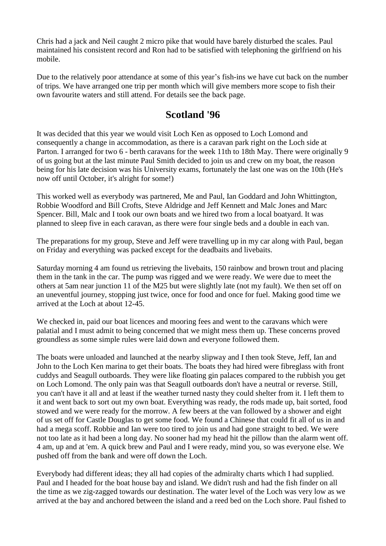Chris had a jack and Neil caught 2 micro pike that would have barely disturbed the scales. Paul maintained his consistent record and Ron had to be satisfied with telephoning the girlfriend on his mobile.

Due to the relatively poor attendance at some of this year's fish-ins we have cut back on the number of trips. We have arranged one trip per month which will give members more scope to fish their own favourite waters and still attend. For details see the back page.

# **Scotland '96**

It was decided that this year we would visit Loch Ken as opposed to Loch Lomond and consequently a change in accommodation, as there is a caravan park right on the Loch side at Parton. I arranged for two 6 - berth caravans for the week 11th to 18th May. There were originally 9 of us going but at the last minute Paul Smith decided to join us and crew on my boat, the reason being for his late decision was his University exams, fortunately the last one was on the 10th (He's now off until October, it's alright for some!)

This worked well as everybody was partnered, Me and Paul, Ian Goddard and John Whittington, Robbie Woodford and Bill Crofts, Steve Aldridge and Jeff Kennett and Malc Jones and Marc Spencer. Bill, Malc and I took our own boats and we hired two from a local boatyard. It was planned to sleep five in each caravan, as there were four single beds and a double in each van.

The preparations for my group, Steve and Jeff were travelling up in my car along with Paul, began on Friday and everything was packed except for the deadbaits and livebaits.

Saturday morning 4 am found us retrieving the livebaits, 150 rainbow and brown trout and placing them in the tank in the car. The pump was rigged and we were ready. We were due to meet the others at 5am near junction 11 of the M25 but were slightly late (not my fault). We then set off on an uneventful journey, stopping just twice, once for food and once for fuel. Making good time we arrived at the Loch at about 12-45.

We checked in, paid our boat licences and mooring fees and went to the caravans which were palatial and I must admit to being concerned that we might mess them up. These concerns proved groundless as some simple rules were laid down and everyone followed them.

The boats were unloaded and launched at the nearby slipway and I then took Steve, Jeff, Ian and John to the Loch Ken marina to get their boats. The boats they had hired were fibreglass with front cuddys and Seagull outboards. They were like floating gin palaces compared to the rubbish you get on Loch Lomond. The only pain was that Seagull outboards don't have a neutral or reverse. Still, you can't have it all and at least if the weather turned nasty they could shelter from it. I left them to it and went back to sort out my own boat. Everything was ready, the rods made up, bait sorted, food stowed and we were ready for the morrow. A few beers at the van followed by a shower and eight of us set off for Castle Douglas to get some food. We found a Chinese that could fit all of us in and had a mega scoff. Robbie and Ian were too tired to join us and had gone straight to bed. We were not too late as it had been a long day. No sooner had my head hit the pillow than the alarm went off. 4 am, up and at 'em. A quick brew and Paul and I were ready, mind you, so was everyone else. We pushed off from the bank and were off down the Loch.

Everybody had different ideas; they all had copies of the admiralty charts which I had supplied. Paul and I headed for the boat house bay and island. We didn't rush and had the fish finder on all the time as we zig-zagged towards our destination. The water level of the Loch was very low as we arrived at the bay and anchored between the island and a reed bed on the Loch shore. Paul fished to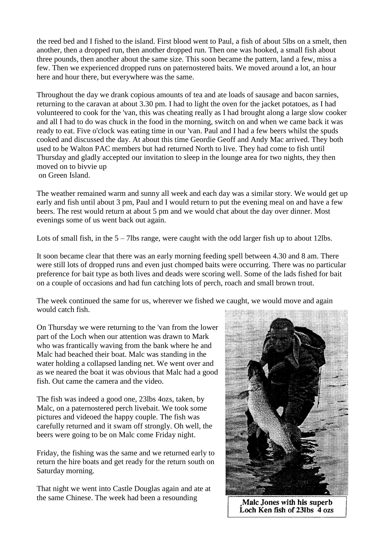the reed bed and I fished to the island. First blood went to Paul, a fish of about 5lbs on a smelt, then another, then a dropped run, then another dropped run. Then one was hooked, a small fish about three pounds, then another about the same size. This soon became the pattern, land a few, miss a few. Then we experienced dropped runs on paternostered baits. We moved around a lot, an hour here and hour there, but everywhere was the same.

Throughout the day we drank copious amounts of tea and ate loads of sausage and bacon sarnies, returning to the caravan at about 3.30 pm. I had to light the oven for the jacket potatoes, as I had volunteered to cook for the 'van, this was cheating really as I had brought along a large slow cooker and all I had to do was chuck in the food in the morning, switch on and when we came back it was ready to eat. Five o'clock was eating time in our 'van. Paul and I had a few beers whilst the spuds cooked and discussed the day. At about this time Geordie Geoff and Andy Mac arrived. They both used to be Walton PAC members but had returned North to live. They had come to fish until Thursday and gladly accepted our invitation to sleep in the lounge area for two nights, they then moved on to bivvie up on Green Island.

The weather remained warm and sunny all week and each day was a similar story. We would get up early and fish until about 3 pm, Paul and I would return to put the evening meal on and have a few beers. The rest would return at about 5 pm and we would chat about the day over dinner. Most evenings some of us went back out again.

Lots of small fish, in the  $5 - 7$ lbs range, were caught with the odd larger fish up to about 12lbs.

It soon became clear that there was an early morning feeding spell between 4.30 and 8 am. There were still lots of dropped runs and even just chomped baits were occurring. There was no particular preference for bait type as both lives and deads were scoring well. Some of the lads fished for bait on a couple of occasions and had fun catching lots of perch, roach and small brown trout.

The week continued the same for us, wherever we fished we caught, we would move and again would catch fish.

On Thursday we were returning to the 'van from the lower part of the Loch when our attention was drawn to Mark who was frantically waving from the bank where he and Malc had beached their boat. Malc was standing in the water holding a collapsed landing net. We went over and as we neared the boat it was obvious that Malc had a good fish. Out came the camera and the video.

The fish was indeed a good one, 23lbs 4ozs, taken, by Malc, on a paternostered perch livebait. We took some pictures and videoed the happy couple. The fish was carefully returned and it swam off strongly. Oh well, the beers were going to be on Malc come Friday night.

Friday, the fishing was the same and we returned early to return the hire boats and get ready for the return south on Saturday morning.

That night we went into Castle Douglas again and ate at the same Chinese. The week had been a resounding



Malc Jones with his superb Loch Ken fish of 23lbs 4 ozs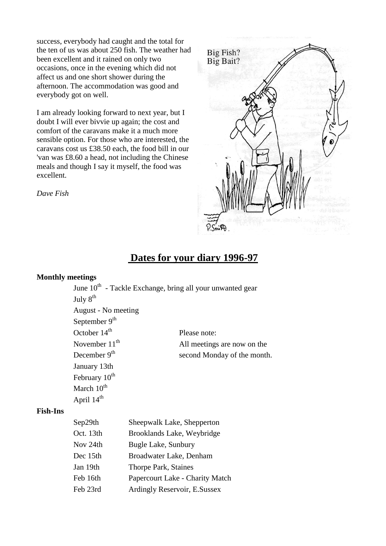success, everybody had caught and the total for the ten of us was about 250 fish. The weather had been excellent and it rained on only two occasions, once in the evening which did not affect us and one short shower during the afternoon. The accommodation was good and everybody got on well.

I am already looking forward to next year, but I doubt I will ever bivvie up again; the cost and comfort of the caravans make it a much more sensible option. For those who are interested, the caravans cost us £38.50 each, the food bill in our 'van was £8.60 a head, not including the Chinese meals and though I say it myself, the food was excellent.

*Dave Fish*



# **Dates for your diary 1996-97**

## **Monthly meetings**

|                           | June 10 <sup>th</sup> - Tackle Exchange, bring all your unwanted gear |
|---------------------------|-----------------------------------------------------------------------|
| July $8^{th}$             |                                                                       |
| August - No meeting       |                                                                       |
| September 9 <sup>th</sup> |                                                                       |
| October $14th$            | Please note:                                                          |
| November $11th$           | All meetings are now on the                                           |
| December 9 <sup>th</sup>  | second Monday of the month.                                           |
| January 13th              |                                                                       |
| February 10 <sup>th</sup> |                                                                       |
| March $10^{\text{th}}$    |                                                                       |
| April 14 <sup>th</sup>    |                                                                       |

#### **Fish-Ins**

| Sep29th   | Sheepwalk Lake, Shepperton      |
|-----------|---------------------------------|
| Oct. 13th | Brooklands Lake, Weybridge      |
| Nov 24th  | Bugle Lake, Sunbury             |
| Dec 15th  | Broadwater Lake, Denham         |
| Jan 19th  | Thorpe Park, Staines            |
| Feb 16th  | Papercourt Lake - Charity Match |
| Feb 23rd  | Ardingly Reservoir, E.Sussex    |